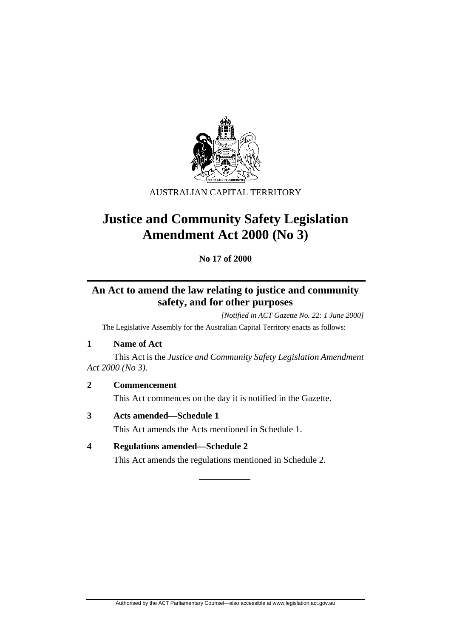

AUSTRALIAN CAPITAL TERRITORY

# **Justice and Community Safety Legislation Amendment Act 2000 (No 3)**

**No 17 of 2000** 

# **An Act to amend the law relating to justice and community safety, and for other purposes**

*[Notified in ACT Gazette No. 22: 1 June 2000]*  The Legislative Assembly for the Australian Capital Territory enacts as follows:

**1 Name of Act**

 This Act is the *Justice and Community Safety Legislation Amendment Act 2000 (No 3).*

**2 Commencement** 

This Act commences on the day it is notified in the Gazette.

- **3 Acts amended—Schedule 1**  This Act amends the Acts mentioned in Schedule 1.
- **4 Regulations amended—Schedule 2**

This Act amends the regulations mentioned in Schedule 2.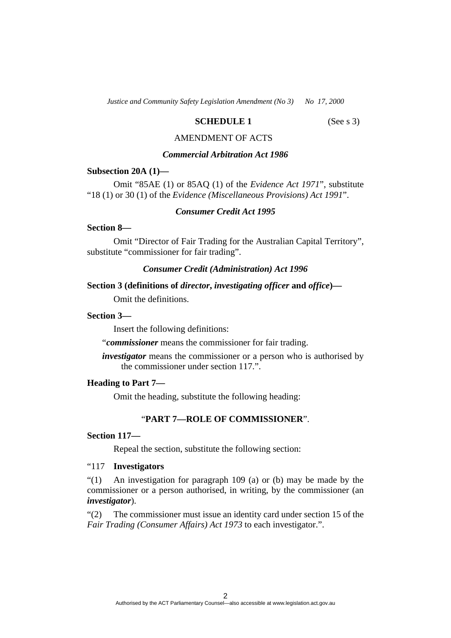*Justice and Community Safety Legislation Amendment (No 3)* No 17, 2000

# **SCHEDULE 1** (See s 3)

# AMENDMENT OF ACTS

# *Commercial Arbitration Act 1986*

#### **Subsection 20A (1)—**

 Omit "85AE (1) or 85AQ (1) of the *Evidence Act 1971*", substitute "18 (1) or 30 (1) of the *Evidence (Miscellaneous Provisions) Act 1991*".

# *Consumer Credit Act 1995*

### **Section 8—**

 Omit "Director of Fair Trading for the Australian Capital Territory", substitute "commissioner for fair trading".

# *Consumer Credit (Administration) Act 1996*

# **Section 3 (definitions of** *director***,** *investigating officer* **and** *office***)—**

Omit the definitions.

# **Section 3—**

Insert the following definitions:

"*commissioner* means the commissioner for fair trading.

*investigator* means the commissioner or a person who is authorised by the commissioner under section 117.".

#### **Heading to Part 7—**

Omit the heading, substitute the following heading:

# "**PART 7—ROLE OF COMMISSIONER**".

#### **Section 117—**

Repeal the section, substitute the following section:

### "117 **Investigators**

"(1) An investigation for paragraph 109 (a) or (b) may be made by the commissioner or a person authorised, in writing, by the commissioner (an *investigator*).

"(2) The commissioner must issue an identity card under section 15 of the *Fair Trading (Consumer Affairs) Act 1973* to each investigator.".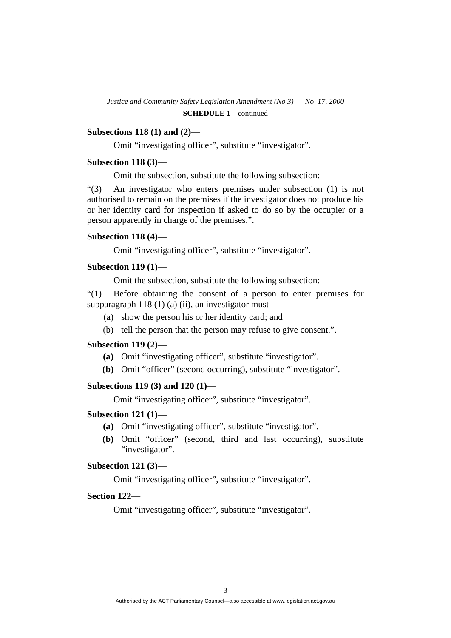### **Subsections 118 (1) and (2)—**

Omit "investigating officer", substitute "investigator".

#### **Subsection 118 (3)—**

Omit the subsection, substitute the following subsection:

"(3) An investigator who enters premises under subsection (1) is not authorised to remain on the premises if the investigator does not produce his or her identity card for inspection if asked to do so by the occupier or a person apparently in charge of the premises.".

# **Subsection 118 (4)—**

Omit "investigating officer", substitute "investigator".

# **Subsection 119 (1)—**

Omit the subsection, substitute the following subsection:

"(1) Before obtaining the consent of a person to enter premises for subparagraph 118 (1) (a) (ii), an investigator must—

- (a) show the person his or her identity card; and
- (b) tell the person that the person may refuse to give consent.".

# **Subsection 119 (2)—**

- **(a)** Omit "investigating officer", substitute "investigator".
- **(b)** Omit "officer" (second occurring), substitute "investigator".

# **Subsections 119 (3) and 120 (1)—**

Omit "investigating officer", substitute "investigator".

#### **Subsection 121 (1)—**

- **(a)** Omit "investigating officer", substitute "investigator".
- **(b)** Omit "officer" (second, third and last occurring), substitute "investigator".

# **Subsection 121 (3)—**

Omit "investigating officer", substitute "investigator".

# **Section 122—**

Omit "investigating officer", substitute "investigator".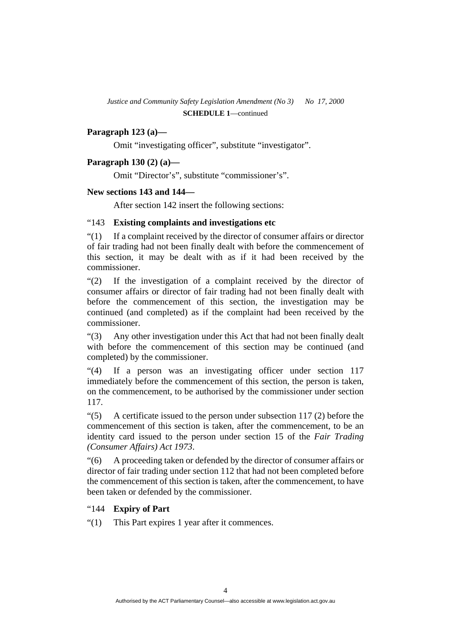### **Paragraph 123 (a)—**

Omit "investigating officer", substitute "investigator".

#### **Paragraph 130 (2) (a)—**

Omit "Director's", substitute "commissioner's".

#### **New sections 143 and 144—**

After section 142 insert the following sections:

# "143 **Existing complaints and investigations etc**

"(1) If a complaint received by the director of consumer affairs or director of fair trading had not been finally dealt with before the commencement of this section, it may be dealt with as if it had been received by the commissioner.

"(2) If the investigation of a complaint received by the director of consumer affairs or director of fair trading had not been finally dealt with before the commencement of this section, the investigation may be continued (and completed) as if the complaint had been received by the commissioner.

"(3) Any other investigation under this Act that had not been finally dealt with before the commencement of this section may be continued (and completed) by the commissioner.

"(4) If a person was an investigating officer under section 117 immediately before the commencement of this section, the person is taken, on the commencement, to be authorised by the commissioner under section 117.

 $\degree$ (5) A certificate issued to the person under subsection 117 (2) before the commencement of this section is taken, after the commencement, to be an identity card issued to the person under section 15 of the *Fair Trading (Consumer Affairs) Act 1973*.

"(6) A proceeding taken or defended by the director of consumer affairs or director of fair trading under section 112 that had not been completed before the commencement of this section is taken, after the commencement, to have been taken or defended by the commissioner.

#### "144 **Expiry of Part**

"(1) This Part expires 1 year after it commences.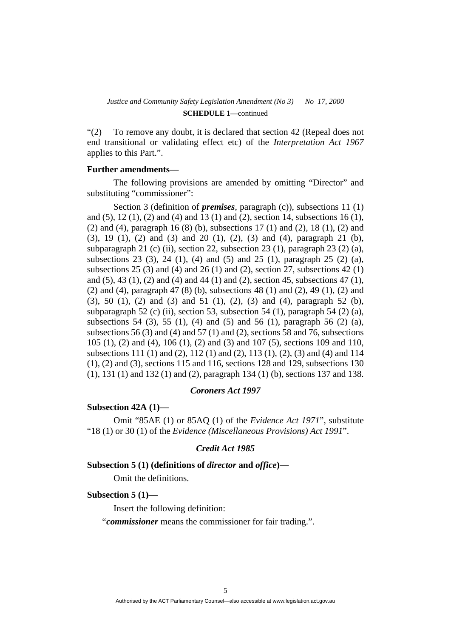"(2) To remove any doubt, it is declared that section 42 (Repeal does not end transitional or validating effect etc) of the *Interpretation Act 1967* applies to this Part.".

#### **Further amendments—**

 The following provisions are amended by omitting "Director" and substituting "commissioner":

 Section 3 (definition of *premises*, paragraph (c)), subsections 11 (1) and (5), 12 (1), (2) and (4) and 13 (1) and (2), section 14, subsections 16 (1), (2) and (4), paragraph 16 (8) (b), subsections 17 (1) and (2), 18 (1), (2) and (3), 19 (1), (2) and (3) and 20 (1), (2), (3) and (4), paragraph 21 (b), subparagraph 21 (c) (ii), section 22, subsection 23 (1), paragraph 23 (2) (a), subsections 23 (3), 24 (1), (4) and (5) and 25 (1), paragraph 25 (2) (a), subsections 25 (3) and (4) and 26 (1) and (2), section 27, subsections 42 (1) and (5), 43 (1), (2) and (4) and 44 (1) and (2), section 45, subsections 47 (1), (2) and (4), paragraph 47 (8) (b), subsections 48 (1) and (2), 49 (1), (2) and (3), 50 (1), (2) and (3) and 51 (1), (2), (3) and (4), paragraph 52 (b), subparagraph 52 (c) (ii), section 53, subsection 54 (1), paragraph 54 (2) (a), subsections 54 (3), 55 (1), (4) and (5) and 56 (1), paragraph 56 (2) (a), subsections 56 (3) and (4) and 57 (1) and (2), sections 58 and 76, subsections 105 (1), (2) and (4), 106 (1), (2) and (3) and 107 (5), sections 109 and 110, subsections 111 (1) and (2), 112 (1) and (2), 113 (1), (2), (3) and (4) and 114 (1), (2) and (3), sections 115 and 116, sections 128 and 129, subsections 130 (1), 131 (1) and 132 (1) and (2), paragraph 134 (1) (b), sections 137 and 138.

#### *Coroners Act 1997*

#### **Subsection 42A (1)—**

 Omit "85AE (1) or 85AQ (1) of the *Evidence Act 1971*", substitute "18 (1) or 30 (1) of the *Evidence (Miscellaneous Provisions) Act 1991*".

#### *Credit Act 1985*

#### **Subsection 5 (1) (definitions of** *director* **and** *office***)—**

Omit the definitions.

#### **Subsection 5 (1)—**

Insert the following definition:

"*commissioner* means the commissioner for fair trading.".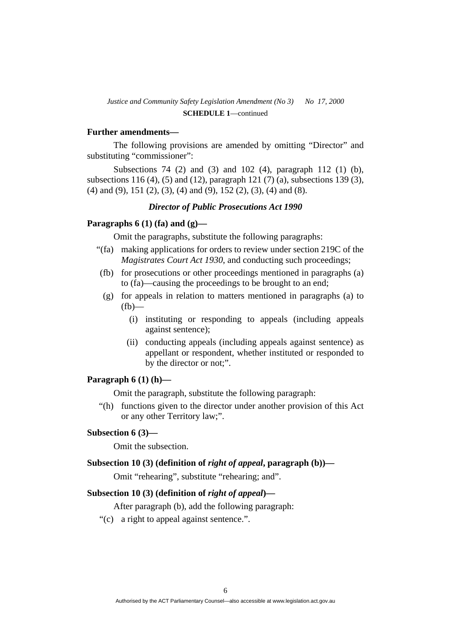#### **Further amendments—**

 The following provisions are amended by omitting "Director" and substituting "commissioner":

 Subsections 74 (2) and (3) and 102 (4), paragraph 112 (1) (b), subsections 116 (4), (5) and (12), paragraph 121 (7) (a), subsections 139 (3), (4) and (9), 151 (2), (3), (4) and (9), 152 (2), (3), (4) and (8).

#### *Director of Public Prosecutions Act 1990*

# **Paragraphs 6 (1) (fa) and (g)—**

Omit the paragraphs, substitute the following paragraphs:

- "(fa) making applications for orders to review under section 219C of the *Magistrates Court Act 1930*, and conducting such proceedings;
- (fb) for prosecutions or other proceedings mentioned in paragraphs (a) to (fa)—causing the proceedings to be brought to an end;
- (g) for appeals in relation to matters mentioned in paragraphs (a) to  $(fh)$ —
	- (i) instituting or responding to appeals (including appeals against sentence);
	- (ii) conducting appeals (including appeals against sentence) as appellant or respondent, whether instituted or responded to by the director or not;".

#### **Paragraph 6 (1) (h)—**

Omit the paragraph, substitute the following paragraph:

 "(h) functions given to the director under another provision of this Act or any other Territory law;".

#### **Subsection 6 (3)—**

Omit the subsection.

### **Subsection 10 (3) (definition of** *right of appeal***, paragraph (b))—**

Omit "rehearing", substitute "rehearing; and".

#### **Subsection 10 (3) (definition of** *right of appeal***)—**

After paragraph (b), add the following paragraph:

"(c) a right to appeal against sentence.".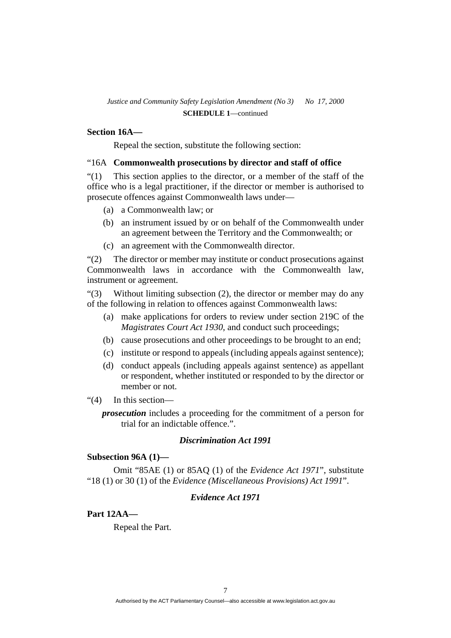#### **Section 16A—**

Repeal the section, substitute the following section:

#### "16A **Commonwealth prosecutions by director and staff of office**

"(1) This section applies to the director, or a member of the staff of the office who is a legal practitioner, if the director or member is authorised to prosecute offences against Commonwealth laws under—

- (a) a Commonwealth law; or
- (b) an instrument issued by or on behalf of the Commonwealth under an agreement between the Territory and the Commonwealth; or
- (c) an agreement with the Commonwealth director.

"(2) The director or member may institute or conduct prosecutions against Commonwealth laws in accordance with the Commonwealth law, instrument or agreement.

"(3) Without limiting subsection (2), the director or member may do any of the following in relation to offences against Commonwealth laws:

- (a) make applications for orders to review under section 219C of the *Magistrates Court Act 1930*, and conduct such proceedings;
- (b) cause prosecutions and other proceedings to be brought to an end;
- (c) institute or respond to appeals (including appeals against sentence);
- (d) conduct appeals (including appeals against sentence) as appellant or respondent, whether instituted or responded to by the director or member or not.
- "(4) In this section—

*prosecution* includes a proceeding for the commitment of a person for trial for an indictable offence.".

#### *Discrimination Act 1991*

#### **Subsection 96A (1)—**

 Omit "85AE (1) or 85AQ (1) of the *Evidence Act 1971*", substitute "18 (1) or 30 (1) of the *Evidence (Miscellaneous Provisions) Act 1991*".

# *Evidence Act 1971*

### **Part 12AA—**

Repeal the Part.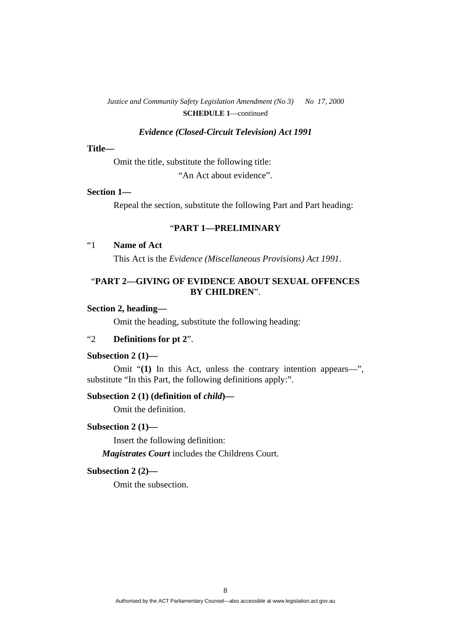#### *Evidence (Closed-Circuit Television) Act 1991*

#### **Title—**

Omit the title, substitute the following title:

"An Act about evidence".

# **Section 1—**

Repeal the section, substitute the following Part and Part heading:

# "**PART 1—PRELIMINARY**

# "1 **Name of Act**

This Act is the *Evidence (Miscellaneous Provisions) Act 1991*.

# "**PART 2—GIVING OF EVIDENCE ABOUT SEXUAL OFFENCES BY CHILDREN**".

### **Section 2, heading—**

Omit the heading, substitute the following heading:

# "2 **Definitions for pt 2**".

### **Subsection 2 (1)—**

 Omit "**(1)** In this Act, unless the contrary intention appears—", substitute "In this Part, the following definitions apply:".

# **Subsection 2 (1) (definition of** *child***)—**

Omit the definition.

#### **Subsection 2 (1)—**

Insert the following definition:

*Magistrates Court* includes the Childrens Court.

#### **Subsection 2 (2)—**

Omit the subsection.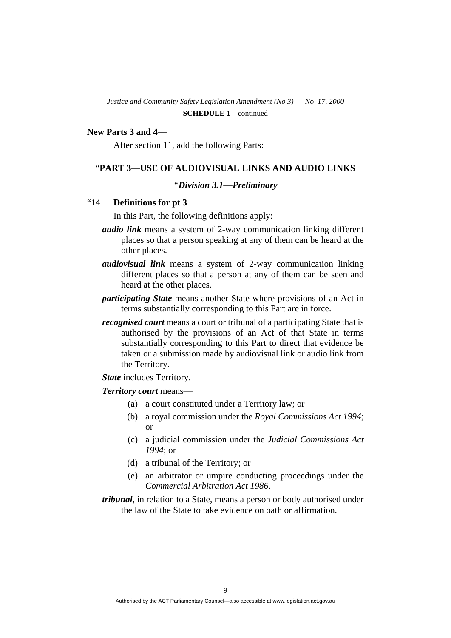#### **New Parts 3 and 4—**

After section 11, add the following Parts:

#### "**PART 3—USE OF AUDIOVISUAL LINKS AND AUDIO LINKS**

#### *"Division 3.1—Preliminary*

#### "14 **Definitions for pt 3**

In this Part, the following definitions apply:

- *audio link* means a system of 2-way communication linking different places so that a person speaking at any of them can be heard at the other places.
- *audiovisual link* means a system of 2-way communication linking different places so that a person at any of them can be seen and heard at the other places.
- *participating State* means another State where provisions of an Act in terms substantially corresponding to this Part are in force.
- *recognised court* means a court or tribunal of a participating State that is authorised by the provisions of an Act of that State in terms substantially corresponding to this Part to direct that evidence be taken or a submission made by audiovisual link or audio link from the Territory.

*State* includes Territory.

#### *Territory court* means—

- (a) a court constituted under a Territory law; or
- (b) a royal commission under the *Royal Commissions Act 1994*; or
- (c) a judicial commission under the *Judicial Commissions Act 1994*; or
- (d) a tribunal of the Territory; or
- (e) an arbitrator or umpire conducting proceedings under the *Commercial Arbitration Act 1986*.
- *tribunal*, in relation to a State, means a person or body authorised under the law of the State to take evidence on oath or affirmation.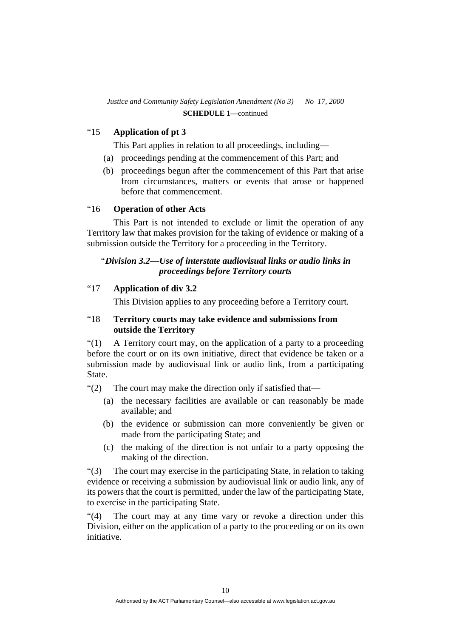# "15 **Application of pt 3**

This Part applies in relation to all proceedings, including—

- (a) proceedings pending at the commencement of this Part; and
- (b) proceedings begun after the commencement of this Part that arise from circumstances, matters or events that arose or happened before that commencement.

#### "16 **Operation of other Acts**

 This Part is not intended to exclude or limit the operation of any Territory law that makes provision for the taking of evidence or making of a submission outside the Territory for a proceeding in the Territory.

# *"Division 3.2—Use of interstate audiovisual links or audio links in proceedings before Territory courts*

# "17 **Application of div 3.2**

This Division applies to any proceeding before a Territory court.

# "18 **Territory courts may take evidence and submissions from outside the Territory**

"(1) A Territory court may, on the application of a party to a proceeding before the court or on its own initiative, direct that evidence be taken or a submission made by audiovisual link or audio link, from a participating State.

"(2) The court may make the direction only if satisfied that—

- (a) the necessary facilities are available or can reasonably be made available; and
- (b) the evidence or submission can more conveniently be given or made from the participating State; and
- (c) the making of the direction is not unfair to a party opposing the making of the direction.

"(3) The court may exercise in the participating State, in relation to taking evidence or receiving a submission by audiovisual link or audio link, any of its powers that the court is permitted, under the law of the participating State, to exercise in the participating State.

"(4) The court may at any time vary or revoke a direction under this Division, either on the application of a party to the proceeding or on its own initiative.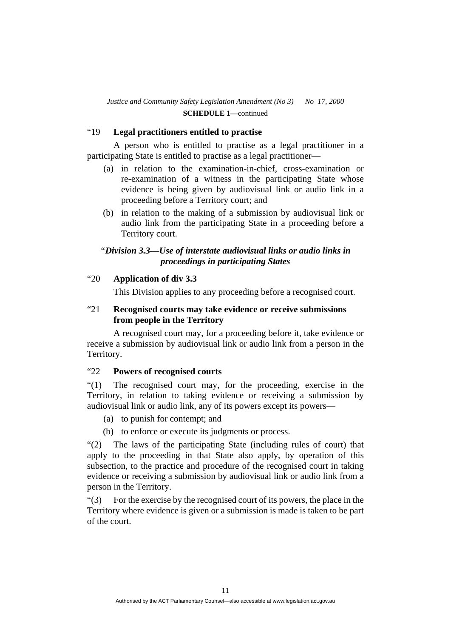# "19 **Legal practitioners entitled to practise**

 A person who is entitled to practise as a legal practitioner in a participating State is entitled to practise as a legal practitioner—

- (a) in relation to the examination-in-chief, cross-examination or re-examination of a witness in the participating State whose evidence is being given by audiovisual link or audio link in a proceeding before a Territory court; and
- (b) in relation to the making of a submission by audiovisual link or audio link from the participating State in a proceeding before a Territory court.

# *"Division 3.3—Use of interstate audiovisual links or audio links in proceedings in participating States*

# "20 **Application of div 3.3**

This Division applies to any proceeding before a recognised court.

# "21 **Recognised courts may take evidence or receive submissions from people in the Territory**

 A recognised court may, for a proceeding before it, take evidence or receive a submission by audiovisual link or audio link from a person in the Territory.

# "22 **Powers of recognised courts**

"(1) The recognised court may, for the proceeding, exercise in the Territory, in relation to taking evidence or receiving a submission by audiovisual link or audio link, any of its powers except its powers—

- (a) to punish for contempt; and
- (b) to enforce or execute its judgments or process.

"(2) The laws of the participating State (including rules of court) that apply to the proceeding in that State also apply, by operation of this subsection, to the practice and procedure of the recognised court in taking evidence or receiving a submission by audiovisual link or audio link from a person in the Territory.

"(3) For the exercise by the recognised court of its powers, the place in the Territory where evidence is given or a submission is made is taken to be part of the court.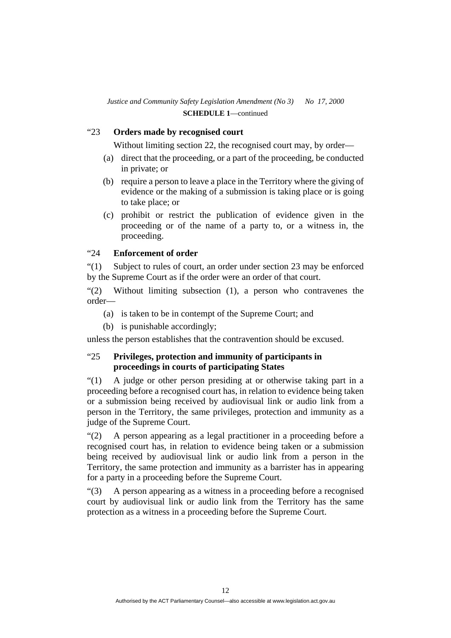# "23 **Orders made by recognised court**

Without limiting section 22, the recognised court may, by order—

- (a) direct that the proceeding, or a part of the proceeding, be conducted in private; or
- (b) require a person to leave a place in the Territory where the giving of evidence or the making of a submission is taking place or is going to take place; or
- (c) prohibit or restrict the publication of evidence given in the proceeding or of the name of a party to, or a witness in, the proceeding.

# "24 **Enforcement of order**

"(1) Subject to rules of court, an order under section 23 may be enforced by the Supreme Court as if the order were an order of that court.

"(2) Without limiting subsection (1), a person who contravenes the order—

- (a) is taken to be in contempt of the Supreme Court; and
- (b) is punishable accordingly;

unless the person establishes that the contravention should be excused.

# "25 **Privileges, protection and immunity of participants in proceedings in courts of participating States**

"(1) A judge or other person presiding at or otherwise taking part in a proceeding before a recognised court has, in relation to evidence being taken or a submission being received by audiovisual link or audio link from a person in the Territory, the same privileges, protection and immunity as a judge of the Supreme Court.

"(2) A person appearing as a legal practitioner in a proceeding before a recognised court has, in relation to evidence being taken or a submission being received by audiovisual link or audio link from a person in the Territory, the same protection and immunity as a barrister has in appearing for a party in a proceeding before the Supreme Court.

"(3) A person appearing as a witness in a proceeding before a recognised court by audiovisual link or audio link from the Territory has the same protection as a witness in a proceeding before the Supreme Court.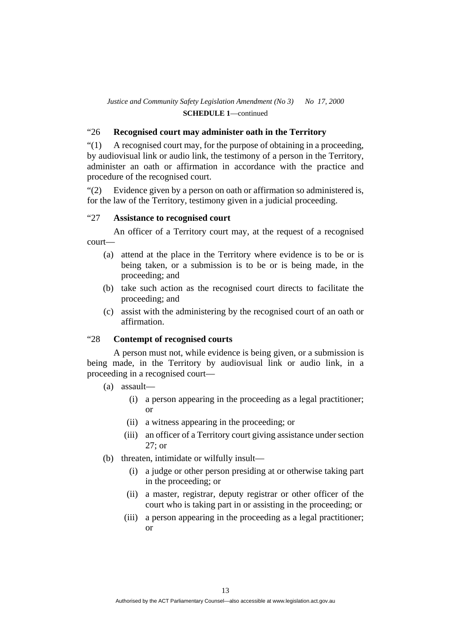# "26 **Recognised court may administer oath in the Territory**

"(1) A recognised court may, for the purpose of obtaining in a proceeding, by audiovisual link or audio link, the testimony of a person in the Territory, administer an oath or affirmation in accordance with the practice and procedure of the recognised court.

"(2) Evidence given by a person on oath or affirmation so administered is, for the law of the Territory, testimony given in a judicial proceeding.

# "27 **Assistance to recognised court**

 An officer of a Territory court may, at the request of a recognised court—

- (a) attend at the place in the Territory where evidence is to be or is being taken, or a submission is to be or is being made, in the proceeding; and
- (b) take such action as the recognised court directs to facilitate the proceeding; and
- (c) assist with the administering by the recognised court of an oath or affirmation.

# "28 **Contempt of recognised courts**

 A person must not, while evidence is being given, or a submission is being made, in the Territory by audiovisual link or audio link, in a proceeding in a recognised court—

- (a) assault—
	- (i) a person appearing in the proceeding as a legal practitioner; or
	- (ii) a witness appearing in the proceeding; or
	- (iii) an officer of a Territory court giving assistance under section 27; or
- (b) threaten, intimidate or wilfully insult—
	- (i) a judge or other person presiding at or otherwise taking part in the proceeding; or
	- (ii) a master, registrar, deputy registrar or other officer of the court who is taking part in or assisting in the proceeding; or
	- (iii) a person appearing in the proceeding as a legal practitioner; or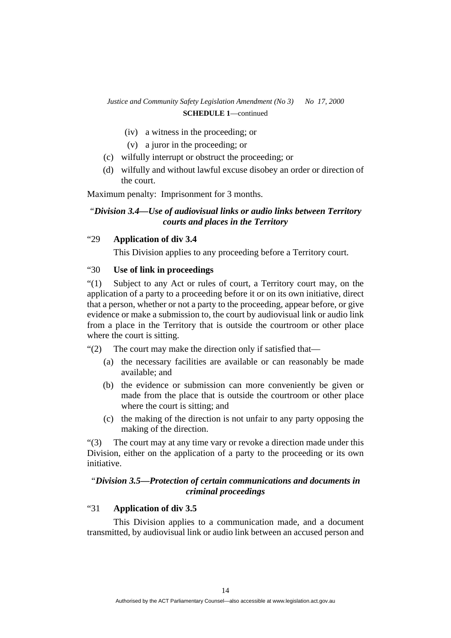- (iv) a witness in the proceeding; or
- (v) a juror in the proceeding; or
- (c) wilfully interrupt or obstruct the proceeding; or
- (d) wilfully and without lawful excuse disobey an order or direction of the court.

Maximum penalty: Imprisonment for 3 months.

# *"Division 3.4—Use of audiovisual links or audio links between Territory courts and places in the Territory*

# "29 **Application of div 3.4**

This Division applies to any proceeding before a Territory court.

# "30 **Use of link in proceedings**

"(1) Subject to any Act or rules of court, a Territory court may, on the application of a party to a proceeding before it or on its own initiative, direct that a person, whether or not a party to the proceeding, appear before, or give evidence or make a submission to, the court by audiovisual link or audio link from a place in the Territory that is outside the courtroom or other place where the court is sitting.

"(2) The court may make the direction only if satisfied that—

- (a) the necessary facilities are available or can reasonably be made available; and
- (b) the evidence or submission can more conveniently be given or made from the place that is outside the courtroom or other place where the court is sitting; and
- (c) the making of the direction is not unfair to any party opposing the making of the direction.

"(3) The court may at any time vary or revoke a direction made under this Division, either on the application of a party to the proceeding or its own initiative.

# *"Division 3.5—Protection of certain communications and documents in criminal proceedings*

# "31 **Application of div 3.5**

 This Division applies to a communication made, and a document transmitted, by audiovisual link or audio link between an accused person and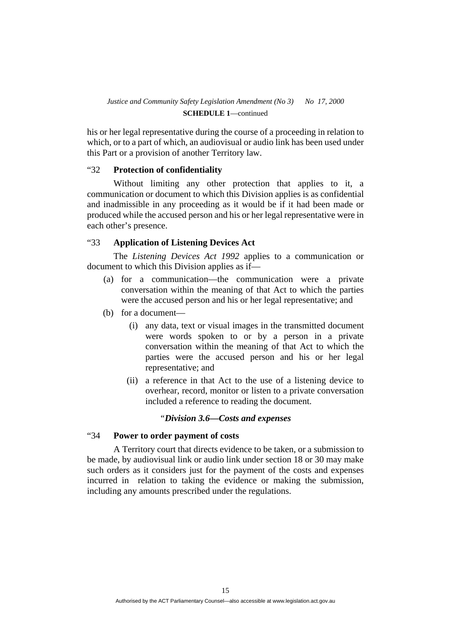his or her legal representative during the course of a proceeding in relation to which, or to a part of which, an audiovisual or audio link has been used under this Part or a provision of another Territory law.

# "32 **Protection of confidentiality**

 Without limiting any other protection that applies to it, a communication or document to which this Division applies is as confidential and inadmissible in any proceeding as it would be if it had been made or produced while the accused person and his or her legal representative were in each other's presence.

### "33 **Application of Listening Devices Act**

 The *Listening Devices Act 1992* applies to a communication or document to which this Division applies as if—

- (a) for a communication—the communication were a private conversation within the meaning of that Act to which the parties were the accused person and his or her legal representative; and
- (b) for a document—
	- (i) any data, text or visual images in the transmitted document were words spoken to or by a person in a private conversation within the meaning of that Act to which the parties were the accused person and his or her legal representative; and
	- (ii) a reference in that Act to the use of a listening device to overhear, record, monitor or listen to a private conversation included a reference to reading the document.

#### *"Division 3.6—Costs and expenses*

### "34 **Power to order payment of costs**

 A Territory court that directs evidence to be taken, or a submission to be made, by audiovisual link or audio link under section 18 or 30 may make such orders as it considers just for the payment of the costs and expenses incurred in relation to taking the evidence or making the submission, including any amounts prescribed under the regulations.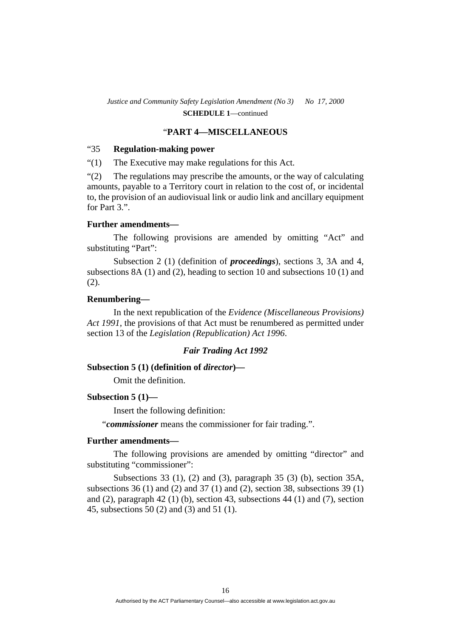#### "**PART 4—MISCELLANEOUS**

#### "35 **Regulation-making power**

"(1) The Executive may make regulations for this Act.

"(2) The regulations may prescribe the amounts, or the way of calculating amounts, payable to a Territory court in relation to the cost of, or incidental to, the provision of an audiovisual link or audio link and ancillary equipment for Part 3.".

#### **Further amendments—**

 The following provisions are amended by omitting "Act" and substituting "Part":

 Subsection 2 (1) (definition of *proceedings*), sections 3, 3A and 4, subsections 8A (1) and (2), heading to section 10 and subsections 10 (1) and (2).

#### **Renumbering—**

 In the next republication of the *Evidence (Miscellaneous Provisions) Act 1991*, the provisions of that Act must be renumbered as permitted under section 13 of the *Legislation (Republication) Act 1996*.

### *Fair Trading Act 1992*

### **Subsection 5 (1) (definition of** *director***)—**

Omit the definition.

#### **Subsection 5 (1)—**

Insert the following definition:

"*commissioner* means the commissioner for fair trading.".

#### **Further amendments—**

 The following provisions are amended by omitting "director" and substituting "commissioner":

 Subsections 33 (1), (2) and (3), paragraph 35 (3) (b), section 35A, subsections 36 (1) and (2) and 37 (1) and (2), section 38, subsections 39 (1) and  $(2)$ , paragraph  $42$   $(1)$   $(b)$ , section  $43$ , subsections  $44$   $(1)$  and  $(7)$ , section 45, subsections 50 (2) and (3) and 51 (1).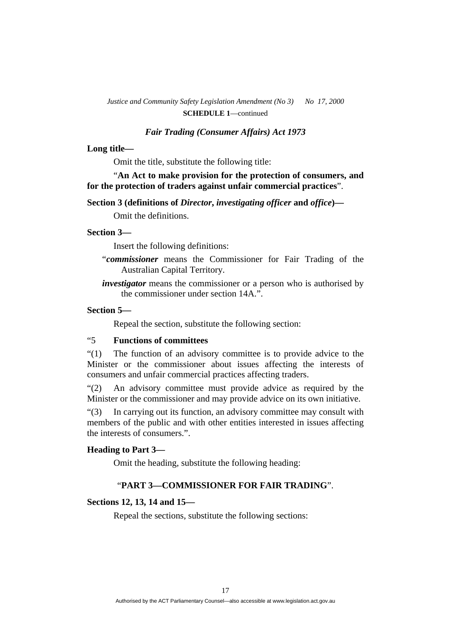#### *Fair Trading (Consumer Affairs) Act 1973*

#### **Long title—**

Omit the title, substitute the following title:

 "**An Act to make provision for the protection of consumers, and for the protection of traders against unfair commercial practices**".

 **Section 3 (definitions of** *Director***,** *investigating officer* **and** *office***)—** 

Omit the definitions.

#### **Section 3—**

Insert the following definitions:

- "*commissioner* means the Commissioner for Fair Trading of the Australian Capital Territory.
- *investigator* means the commissioner or a person who is authorised by the commissioner under section 14A.".

# **Section 5—**

Repeal the section, substitute the following section:

# "5 **Functions of committees**

"(1) The function of an advisory committee is to provide advice to the Minister or the commissioner about issues affecting the interests of consumers and unfair commercial practices affecting traders.

"(2) An advisory committee must provide advice as required by the Minister or the commissioner and may provide advice on its own initiative.

"(3) In carrying out its function, an advisory committee may consult with members of the public and with other entities interested in issues affecting the interests of consumers.".

#### **Heading to Part 3—**

Omit the heading, substitute the following heading:

# "**PART 3—COMMISSIONER FOR FAIR TRADING**".

#### **Sections 12, 13, 14 and 15—**

Repeal the sections, substitute the following sections: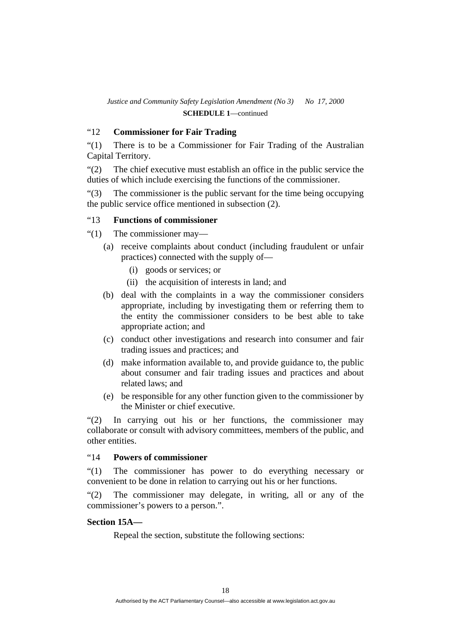# "12 **Commissioner for Fair Trading**

"(1) There is to be a Commissioner for Fair Trading of the Australian Capital Territory.

"(2) The chief executive must establish an office in the public service the duties of which include exercising the functions of the commissioner.

"(3) The commissioner is the public servant for the time being occupying the public service office mentioned in subsection (2).

# "13 **Functions of commissioner**

- "(1) The commissioner may—
	- (a) receive complaints about conduct (including fraudulent or unfair practices) connected with the supply of—
		- (i) goods or services; or
		- (ii) the acquisition of interests in land; and
	- (b) deal with the complaints in a way the commissioner considers appropriate, including by investigating them or referring them to the entity the commissioner considers to be best able to take appropriate action; and
	- (c) conduct other investigations and research into consumer and fair trading issues and practices; and
	- (d) make information available to, and provide guidance to, the public about consumer and fair trading issues and practices and about related laws; and
	- (e) be responsible for any other function given to the commissioner by the Minister or chief executive.

"(2) In carrying out his or her functions, the commissioner may collaborate or consult with advisory committees, members of the public, and other entities.

# "14 **Powers of commissioner**

"(1) The commissioner has power to do everything necessary or convenient to be done in relation to carrying out his or her functions.

"(2) The commissioner may delegate, in writing, all or any of the commissioner's powers to a person.".

#### **Section 15A—**

Repeal the section, substitute the following sections: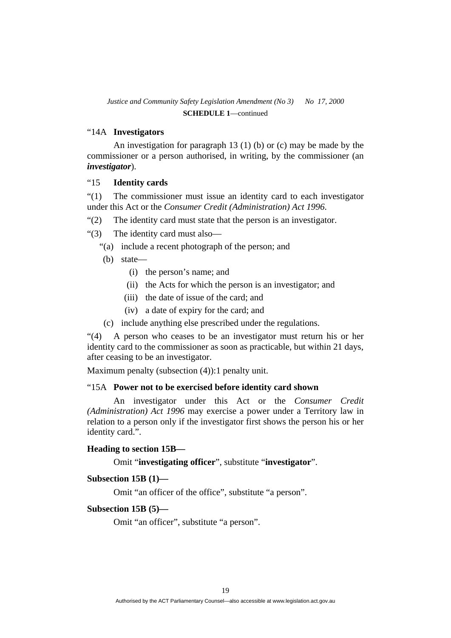# "14A **Investigators**

 An investigation for paragraph 13 (1) (b) or (c) may be made by the commissioner or a person authorised, in writing, by the commissioner (an *investigator*).

### "15 **Identity cards**

"(1) The commissioner must issue an identity card to each investigator under this Act or the *Consumer Credit (Administration) Act 1996*.

- "(2) The identity card must state that the person is an investigator.
- "(3) The identity card must also—
	- "(a) include a recent photograph of the person; and
	- (b) state—
		- (i) the person's name; and
		- (ii) the Acts for which the person is an investigator; and
		- (iii) the date of issue of the card; and
		- (iv) a date of expiry for the card; and
	- (c) include anything else prescribed under the regulations.

"(4) A person who ceases to be an investigator must return his or her identity card to the commissioner as soon as practicable, but within 21 days, after ceasing to be an investigator.

Maximum penalty (subsection (4)):1 penalty unit.

#### "15A **Power not to be exercised before identity card shown**

 An investigator under this Act or the *Consumer Credit (Administration) Act 1996* may exercise a power under a Territory law in relation to a person only if the investigator first shows the person his or her identity card.".

#### **Heading to section 15B—**

Omit "**investigating officer**", substitute "**investigator**".

### **Subsection 15B (1)—**

Omit "an officer of the office", substitute "a person".

#### **Subsection 15B (5)—**

Omit "an officer", substitute "a person".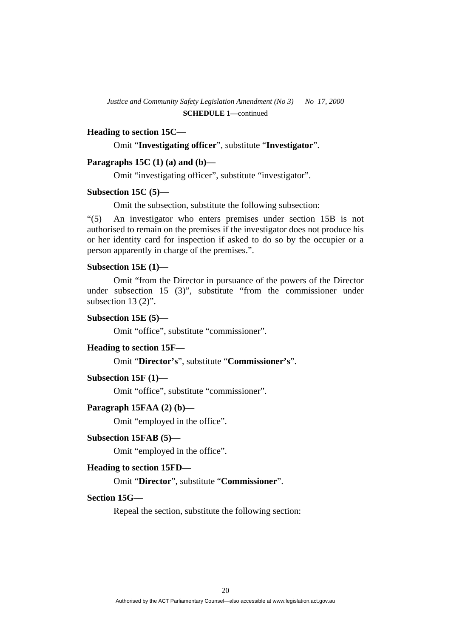# **Heading to section 15C—**

Omit "**Investigating officer**", substitute "**Investigator**".

#### **Paragraphs 15C (1) (a) and (b)—**

Omit "investigating officer", substitute "investigator".

#### **Subsection 15C (5)—**

Omit the subsection, substitute the following subsection:

"(5) An investigator who enters premises under section 15B is not authorised to remain on the premises if the investigator does not produce his or her identity card for inspection if asked to do so by the occupier or a person apparently in charge of the premises.".

#### **Subsection 15E (1)—**

 Omit "from the Director in pursuance of the powers of the Director under subsection 15 (3)", substitute "from the commissioner under subsection 13 (2)".

#### **Subsection 15E (5)—**

Omit "office", substitute "commissioner".

#### **Heading to section 15F—**

Omit "**Director's**", substitute "**Commissioner's**".

#### **Subsection 15F (1)—**

Omit "office", substitute "commissioner".

#### **Paragraph 15FAA (2) (b)—**

Omit "employed in the office".

### **Subsection 15FAB (5)—**

Omit "employed in the office".

#### **Heading to section 15FD—**

Omit "**Director**", substitute "**Commissioner**".

#### **Section 15G—**

Repeal the section, substitute the following section: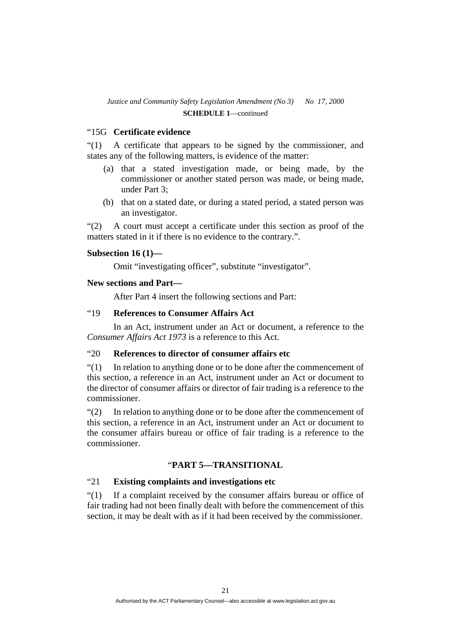# "15G **Certificate evidence**

"(1) A certificate that appears to be signed by the commissioner, and states any of the following matters, is evidence of the matter:

- (a) that a stated investigation made, or being made, by the commissioner or another stated person was made, or being made, under Part 3;
- (b) that on a stated date, or during a stated period, a stated person was an investigator.

"(2) A court must accept a certificate under this section as proof of the matters stated in it if there is no evidence to the contrary.".

### **Subsection 16 (1)—**

Omit "investigating officer", substitute "investigator".

# **New sections and Part—**

After Part 4 insert the following sections and Part:

# "19 **References to Consumer Affairs Act**

 In an Act, instrument under an Act or document, a reference to the *Consumer Affairs Act 1973* is a reference to this Act.

# "20 **References to director of consumer affairs etc**

"(1) In relation to anything done or to be done after the commencement of this section, a reference in an Act, instrument under an Act or document to the director of consumer affairs or director of fair trading is a reference to the commissioner.

"(2) In relation to anything done or to be done after the commencement of this section, a reference in an Act, instrument under an Act or document to the consumer affairs bureau or office of fair trading is a reference to the commissioner.

# "**PART 5—TRANSITIONAL**

# "21 **Existing complaints and investigations etc**

"(1) If a complaint received by the consumer affairs bureau or office of fair trading had not been finally dealt with before the commencement of this section, it may be dealt with as if it had been received by the commissioner.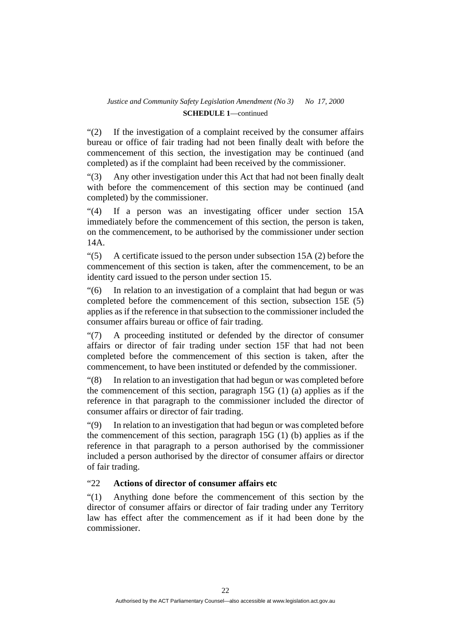"(2) If the investigation of a complaint received by the consumer affairs bureau or office of fair trading had not been finally dealt with before the commencement of this section, the investigation may be continued (and completed) as if the complaint had been received by the commissioner.

"(3) Any other investigation under this Act that had not been finally dealt with before the commencement of this section may be continued (and completed) by the commissioner.

"(4) If a person was an investigating officer under section 15A immediately before the commencement of this section, the person is taken, on the commencement, to be authorised by the commissioner under section 14A.

 $\degree$ (5) A certificate issued to the person under subsection 15A (2) before the commencement of this section is taken, after the commencement, to be an identity card issued to the person under section 15.

"(6) In relation to an investigation of a complaint that had begun or was completed before the commencement of this section, subsection 15E (5) applies as if the reference in that subsection to the commissioner included the consumer affairs bureau or office of fair trading.

"(7) A proceeding instituted or defended by the director of consumer affairs or director of fair trading under section 15F that had not been completed before the commencement of this section is taken, after the commencement, to have been instituted or defended by the commissioner.

"(8) In relation to an investigation that had begun or was completed before the commencement of this section, paragraph 15G (1) (a) applies as if the reference in that paragraph to the commissioner included the director of consumer affairs or director of fair trading.

"(9) In relation to an investigation that had begun or was completed before the commencement of this section, paragraph 15G (1) (b) applies as if the reference in that paragraph to a person authorised by the commissioner included a person authorised by the director of consumer affairs or director of fair trading.

# "22 **Actions of director of consumer affairs etc**

"(1) Anything done before the commencement of this section by the director of consumer affairs or director of fair trading under any Territory law has effect after the commencement as if it had been done by the commissioner.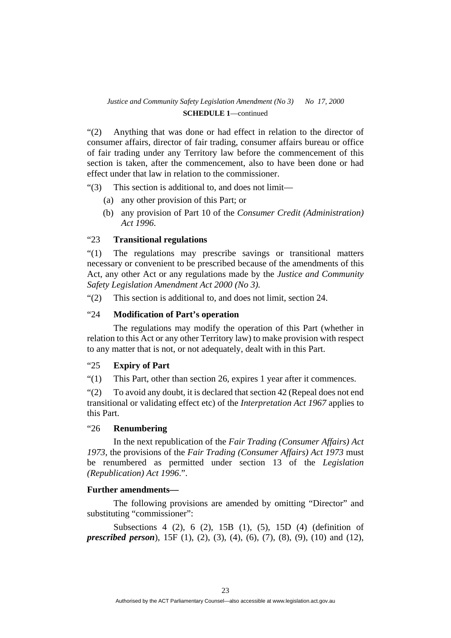"(2) Anything that was done or had effect in relation to the director of consumer affairs, director of fair trading, consumer affairs bureau or office of fair trading under any Territory law before the commencement of this section is taken, after the commencement, also to have been done or had effect under that law in relation to the commissioner.

"(3) This section is additional to, and does not limit—

- (a) any other provision of this Part; or
- (b) any provision of Part 10 of the *Consumer Credit (Administration) Act 1996*.

### "23 **Transitional regulations**

"(1) The regulations may prescribe savings or transitional matters necessary or convenient to be prescribed because of the amendments of this Act, any other Act or any regulations made by the *Justice and Community Safety Legislation Amendment Act 2000 (No 3).*

"(2) This section is additional to, and does not limit, section 24.

# "24 **Modification of Part's operation**

 The regulations may modify the operation of this Part (whether in relation to this Act or any other Territory law) to make provision with respect to any matter that is not, or not adequately, dealt with in this Part.

# "25 **Expiry of Part**

"(1) This Part, other than section 26, expires 1 year after it commences.

"(2) To avoid any doubt, it is declared that section 42 (Repeal does not end transitional or validating effect etc) of the *Interpretation Act 1967* applies to this Part.

### "26 **Renumbering**

 In the next republication of the *Fair Trading (Consumer Affairs) Act 1973*, the provisions of the *Fair Trading (Consumer Affairs) Act 1973* must be renumbered as permitted under section 13 of the *Legislation (Republication) Act 1996*.".

#### **Further amendments—**

 The following provisions are amended by omitting "Director" and substituting "commissioner":

 Subsections 4 (2), 6 (2), 15B (1), (5), 15D (4) (definition of *prescribed person*), 15F (1), (2), (3), (4), (6), (7), (8), (9), (10) and (12),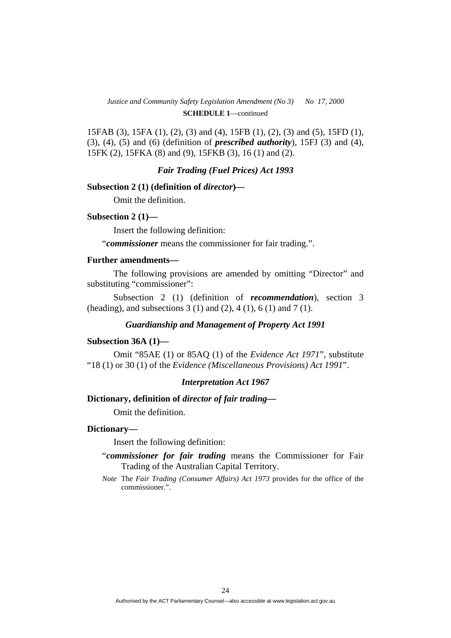15FAB (3), 15FA (1), (2), (3) and (4), 15FB (1), (2), (3) and (5), 15FD (1), (3), (4), (5) and (6) (definition of *prescribed authority*), 15FJ (3) and (4), 15FK (2), 15FKA (8) and (9), 15FKB (3), 16 (1) and (2).

*Fair Trading (Fuel Prices) Act 1993* 

#### **Subsection 2 (1) (definition of** *director***)—**

Omit the definition.

#### **Subsection 2 (1)—**

Insert the following definition:

"*commissioner* means the commissioner for fair trading.".

#### **Further amendments—**

 The following provisions are amended by omitting "Director" and substituting "commissioner":

 Subsection 2 (1) (definition of *recommendation*), section 3 (heading), and subsections 3 (1) and (2), 4 (1), 6 (1) and 7 (1).

#### *Guardianship and Management of Property Act 1991*

#### **Subsection 36A (1)—**

 Omit "85AE (1) or 85AQ (1) of the *Evidence Act 1971*", substitute "18 (1) or 30 (1) of the *Evidence (Miscellaneous Provisions) Act 1991*".

#### *Interpretation Act 1967*

#### **Dictionary, definition of** *director of fair trading***—**

Omit the definition.

#### **Dictionary—**

Insert the following definition:

- "*commissioner for fair trading* means the Commissioner for Fair Trading of the Australian Capital Territory.
- *Note* The *Fair Trading (Consumer Affairs) Act 1973* provides for the office of the commissioner.".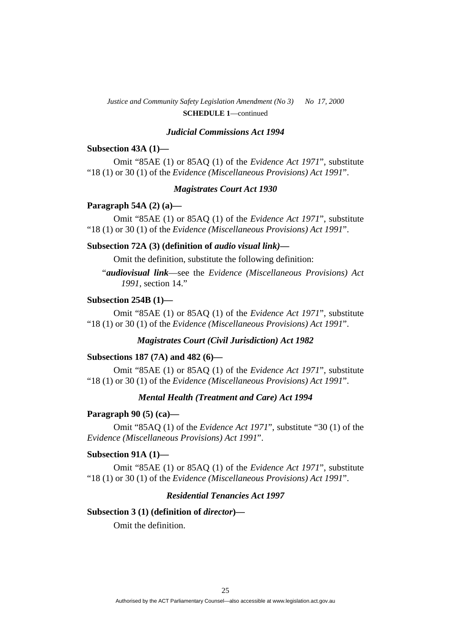#### *Judicial Commissions Act 1994*

#### **Subsection 43A (1)—**

 Omit "85AE (1) or 85AQ (1) of the *Evidence Act 1971*", substitute "18 (1) or 30 (1) of the *Evidence (Miscellaneous Provisions) Act 1991*".

#### *Magistrates Court Act 1930*

#### **Paragraph 54A (2) (a)—**

 Omit "85AE (1) or 85AQ (1) of the *Evidence Act 1971*", substitute "18 (1) or 30 (1) of the *Evidence (Miscellaneous Provisions) Act 1991*".

#### **Subsection 72A (3) (definition of** *audio visual link)***—**

Omit the definition, substitute the following definition:

"*audiovisual link*—see the *Evidence (Miscellaneous Provisions) Act 1991*, section 14."

#### **Subsection 254B (1)—**

 Omit "85AE (1) or 85AQ (1) of the *Evidence Act 1971*", substitute "18 (1) or 30 (1) of the *Evidence (Miscellaneous Provisions) Act 1991*".

### *Magistrates Court (Civil Jurisdiction) Act 1982*

#### **Subsections 187 (7A) and 482 (6)—**

 Omit "85AE (1) or 85AQ (1) of the *Evidence Act 1971*", substitute "18 (1) or 30 (1) of the *Evidence (Miscellaneous Provisions) Act 1991*".

#### *Mental Health (Treatment and Care) Act 1994*

#### **Paragraph 90 (5) (ca)—**

 Omit "85AQ (1) of the *Evidence Act 1971*", substitute "30 (1) of the *Evidence (Miscellaneous Provisions) Act 1991*".

#### **Subsection 91A (1)—**

 Omit "85AE (1) or 85AQ (1) of the *Evidence Act 1971*", substitute "18 (1) or 30 (1) of the *Evidence (Miscellaneous Provisions) Act 1991*".

# *Residential Tenancies Act 1997*

#### **Subsection 3 (1) (definition of** *director***)—**

Omit the definition.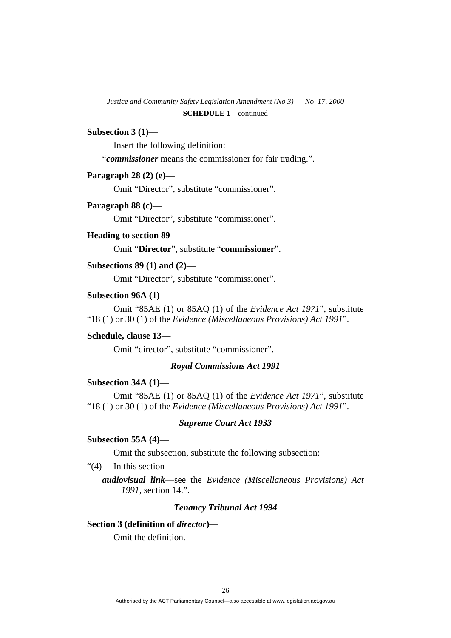#### **Subsection 3 (1)—**

Insert the following definition:

"*commissioner* means the commissioner for fair trading.".

### **Paragraph 28 (2) (e)—**

Omit "Director", substitute "commissioner".

#### **Paragraph 88 (c)—**

Omit "Director", substitute "commissioner".

#### **Heading to section 89—**

Omit "**Director**", substitute "**commissioner**".

# **Subsections 89 (1) and (2)—**

Omit "Director", substitute "commissioner".

#### **Subsection 96A (1)—**

 Omit "85AE (1) or 85AQ (1) of the *Evidence Act 1971*", substitute "18 (1) or 30 (1) of the *Evidence (Miscellaneous Provisions) Act 1991*".

#### **Schedule, clause 13—**

Omit "director", substitute "commissioner".

#### *Royal Commissions Act 1991*

# **Subsection 34A (1)—**

 Omit "85AE (1) or 85AQ (1) of the *Evidence Act 1971*", substitute "18 (1) or 30 (1) of the *Evidence (Miscellaneous Provisions) Act 1991*".

#### *Supreme Court Act 1933*

#### **Subsection 55A (4)—**

Omit the subsection, substitute the following subsection:

# "(4) In this section—

*audiovisual link*—see the *Evidence (Miscellaneous Provisions) Act 1991*, section 14.".

#### *Tenancy Tribunal Act 1994*

### **Section 3 (definition of** *director***)—**

Omit the definition.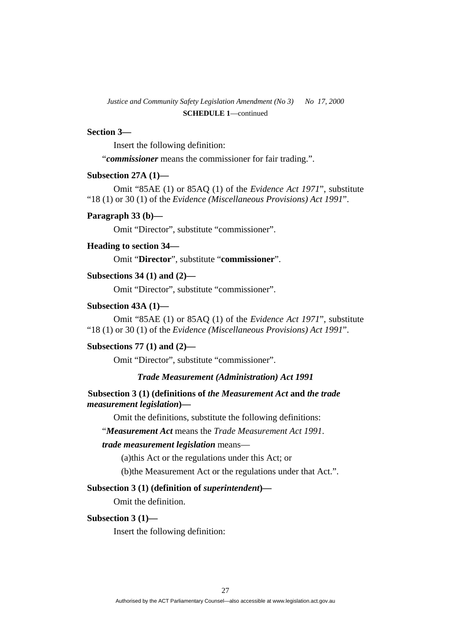#### **Section 3—**

Insert the following definition:

"*commissioner* means the commissioner for fair trading.".

# **Subsection 27A (1)—**

 Omit "85AE (1) or 85AQ (1) of the *Evidence Act 1971*", substitute "18 (1) or 30 (1) of the *Evidence (Miscellaneous Provisions) Act 1991*".

#### **Paragraph 33 (b)—**

Omit "Director", substitute "commissioner".

# **Heading to section 34—**

Omit "**Director**", substitute "**commissioner**".

#### **Subsections 34 (1) and (2)—**

Omit "Director", substitute "commissioner".

#### **Subsection 43A (1)—**

 Omit "85AE (1) or 85AQ (1) of the *Evidence Act 1971*", substitute "18 (1) or 30 (1) of the *Evidence (Miscellaneous Provisions) Act 1991*".

#### **Subsections 77 (1) and (2)—**

Omit "Director", substitute "commissioner".

### *Trade Measurement (Administration) Act 1991*

# **Subsection 3 (1) (definitions of** *the Measurement Act* **and** *the trade measurement legislation***)—**

Omit the definitions, substitute the following definitions:

"*Measurement Act* means the *Trade Measurement Act 1991*.

#### *trade measurement legislation* means—

(a)this Act or the regulations under this Act; or

(b)the Measurement Act or the regulations under that Act.".

#### **Subsection 3 (1) (definition of** *superintendent***)—**

Omit the definition.

#### **Subsection 3 (1)—**

Insert the following definition: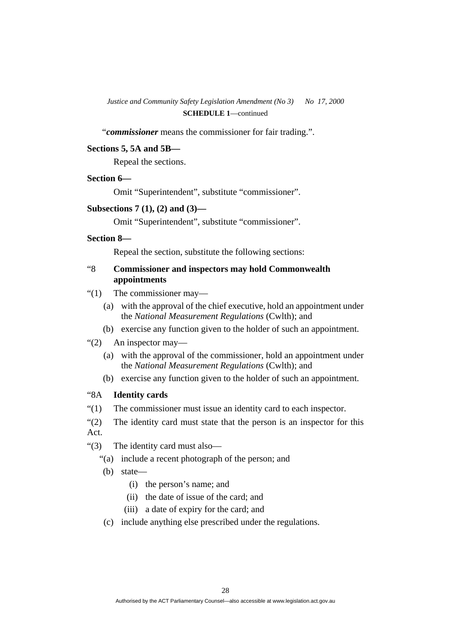"*commissioner* means the commissioner for fair trading.".

# **Sections 5, 5A and 5B—**

Repeal the sections.

# **Section 6—**

Omit "Superintendent", substitute "commissioner".

#### **Subsections 7 (1), (2) and (3)—**

Omit "Superintendent", substitute "commissioner".

#### **Section 8—**

Repeal the section, substitute the following sections:

# "8 **Commissioner and inspectors may hold Commonwealth appointments**

- "(1) The commissioner may—
	- (a) with the approval of the chief executive, hold an appointment under the *National Measurement Regulations* (Cwlth); and
	- (b) exercise any function given to the holder of such an appointment.
- "(2) An inspector may—
	- (a) with the approval of the commissioner, hold an appointment under the *National Measurement Regulations* (Cwlth); and
	- (b) exercise any function given to the holder of such an appointment.

# "8A **Identity cards**

"(1) The commissioner must issue an identity card to each inspector.

"(2) The identity card must state that the person is an inspector for this Act.

- "(3) The identity card must also—
	- "(a) include a recent photograph of the person; and
	- (b) state—
		- (i) the person's name; and
		- (ii) the date of issue of the card; and
		- (iii) a date of expiry for the card; and
	- (c) include anything else prescribed under the regulations.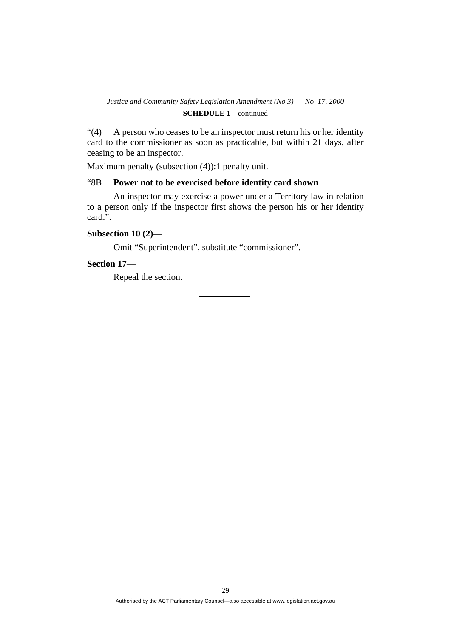"(4) A person who ceases to be an inspector must return his or her identity card to the commissioner as soon as practicable, but within 21 days, after ceasing to be an inspector.

Maximum penalty (subsection (4)):1 penalty unit.

# "8B **Power not to be exercised before identity card shown**

 An inspector may exercise a power under a Territory law in relation to a person only if the inspector first shows the person his or her identity card.".

# **Subsection 10 (2)—**

Omit "Superintendent", substitute "commissioner".

### **Section 17—**

Repeal the section.

29 Authorised by the ACT Parliamentary Counsel—also accessible at www.legislation.act.gov.au